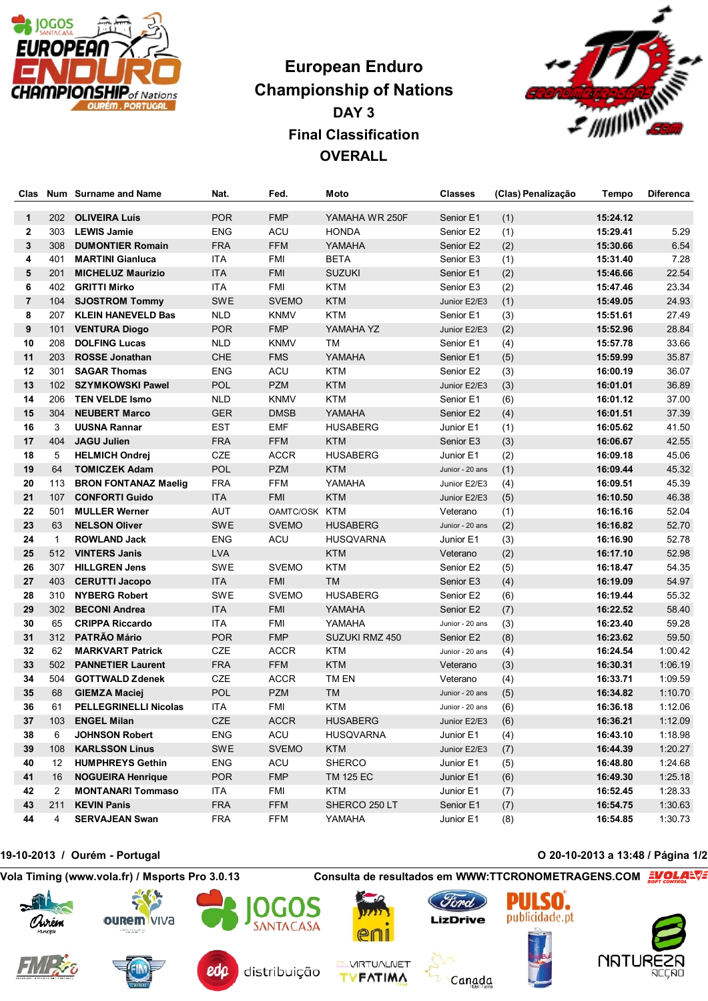

## **European Enduro Championship of Nations DAY 3 Final Classification OVERALL**



| Clas           |              | Num Surname and Name         | Nat.       | Fed.          | Moto             | Classes         | (Clas) Penalização | Tempo    | <b>Diferenca</b> |
|----------------|--------------|------------------------------|------------|---------------|------------------|-----------------|--------------------|----------|------------------|
| $\mathbf{1}$   | 202          | <b>OLIVEIRA Luís</b>         | <b>POR</b> | <b>FMP</b>    | YAMAHA WR 250F   | Senior E1       | (1)                | 15:24.12 |                  |
| $\mathbf{2}$   | 303          | <b>LEWIS Jamie</b>           | ENG        | ACU           | <b>HONDA</b>     | Senior E2       | (1)                | 15:29.41 | 5.29             |
| 3              | 308          | <b>DUMONTIER Romain</b>      | <b>FRA</b> | <b>FFM</b>    | YAMAHA           | Senior E2       | (2)                | 15:30.66 | 6.54             |
| 4              | 401          | <b>MARTINI Gianluca</b>      | ITA        | <b>FMI</b>    | <b>BETA</b>      | Senior E3       | (1)                | 15:31.40 | 7.28             |
| 5              | 201          | <b>MICHELUZ Maurizio</b>     | <b>ITA</b> | <b>FMI</b>    | <b>SUZUKI</b>    | Senior E1       | (2)                | 15:46.66 | 22.54            |
| 6              | 402          | <b>GRITTI Mirko</b>          | <b>ITA</b> | <b>FMI</b>    | <b>KTM</b>       | Senior E3       | (2)                | 15:47.46 | 23.34            |
| $\overline{7}$ | 104          | <b>SJOSTROM Tommy</b>        | SWE        | <b>SVEMO</b>  | <b>KTM</b>       | Junior E2/E3    | (1)                | 15:49.05 | 24.93            |
| 8              | 207          | <b>KLEIN HANEVELD Bas</b>    | <b>NLD</b> | <b>KNMV</b>   | <b>KTM</b>       | Senior E1       | (3)                | 15:51.61 | 27.49            |
| 9              | 101          | <b>VENTURA Diogo</b>         | <b>POR</b> | <b>FMP</b>    | YAMAHA YZ        | Junior E2/E3    | (2)                | 15:52.96 | 28.84            |
| 10             | 208          | <b>DOLFING Lucas</b>         | <b>NLD</b> | <b>KNMV</b>   | ТM               | Senior E1       | (4)                | 15:57.78 | 33.66            |
| 11             | 203          | <b>ROSSE Jonathan</b>        | CHE        | <b>FMS</b>    | YAMAHA           | Senior E1       | (5)                | 15:59.99 | 35.87            |
| 12             | 301          | <b>SAGAR Thomas</b>          | ENG        | ACU           | <b>KTM</b>       | Senior E2       | (3)                | 16:00.19 | 36.07            |
| 13             | 102          | <b>SZYMKOWSKI Pawel</b>      | POL        | <b>PZM</b>    | <b>KTM</b>       | Junior E2/E3    | (3)                | 16:01.01 | 36.89            |
| 14             | 206          | <b>TEN VELDE Ismo</b>        | <b>NLD</b> | <b>KNMV</b>   | <b>KTM</b>       | Senior E1       | (6)                | 16:01.12 | 37.00            |
| 15             | 304          | <b>NEUBERT Marco</b>         | <b>GER</b> | <b>DMSB</b>   | YAMAHA           | Senior E2       | (4)                | 16:01.51 | 37.39            |
| 16             | 3            | <b>UUSNA Rannar</b>          | EST        | <b>EMF</b>    | <b>HUSABERG</b>  | Junior E1       | (1)                | 16:05.62 | 41.50            |
| 17             | 404          | <b>JAGU Julien</b>           | <b>FRA</b> | <b>FFM</b>    | <b>KTM</b>       | Senior E3       | (3)                | 16:06.67 | 42.55            |
| 18             | 5            | <b>HELMICH Ondrej</b>        | CZE        | <b>ACCR</b>   | <b>HUSABERG</b>  | Junior E1       | (2)                | 16:09.18 | 45.06            |
| 19             | 64           | <b>TOMICZEK Adam</b>         | POL        | <b>PZM</b>    | <b>KTM</b>       | Junior - 20 ans | (1)                | 16:09.44 | 45.32            |
| 20             | 113          | <b>BRON FONTANAZ Maelig</b>  | <b>FRA</b> | <b>FFM</b>    | YAMAHA           | Junior E2/E3    | (4)                | 16:09.51 | 45.39            |
| 21             | 107          | <b>CONFORTI Guido</b>        | <b>ITA</b> | <b>FMI</b>    | <b>KTM</b>       | Junior E2/E3    | (5)                | 16:10.50 | 46.38            |
| 22             | 501          | <b>MULLER Werner</b>         | <b>AUT</b> | OAMTC/OSK KTM |                  | Veterano        | (1)                | 16:16.16 | 52.04            |
| 23             | 63           | <b>NELSON Oliver</b>         | SWE        | <b>SVEMO</b>  | <b>HUSABERG</b>  | Junior - 20 ans | (2)                | 16:16.82 | 52.70            |
| 24             | $\mathbf{1}$ | <b>ROWLAND Jack</b>          | <b>ENG</b> | ACU           | <b>HUSQVARNA</b> | Junior E1       | (3)                | 16:16.90 | 52.78            |
| 25             | 512          | <b>VINTERS Janis</b>         | <b>LVA</b> |               | <b>KTM</b>       | Veterano        | (2)                | 16:17.10 | 52.98            |
| 26             | 307          | <b>HILLGREN Jens</b>         | SWE        | <b>SVEMO</b>  | <b>KTM</b>       | Senior E2       | (5)                | 16:18.47 | 54.35            |
| 27             | 403          | <b>CERUTTI Jacopo</b>        | <b>ITA</b> | <b>FMI</b>    | <b>TM</b>        | Senior E3       | (4)                | 16:19.09 | 54.97            |
| 28             | 310          | <b>NYBERG Robert</b>         | SWE        | <b>SVEMO</b>  | <b>HUSABERG</b>  | Senior E2       | (6)                | 16:19.44 | 55.32            |
| 29             | 302          | <b>BECONI Andrea</b>         | <b>ITA</b> | <b>FMI</b>    | YAMAHA           | Senior E2       | (7)                | 16:22.52 | 58.40            |
| 30             | 65           | <b>CRIPPA Riccardo</b>       | ITA        | <b>FMI</b>    | YAMAHA           | Junior - 20 ans | (3)                | 16:23.40 | 59.28            |
| 31             | 312          | PATRÃO Mário                 | <b>POR</b> | <b>FMP</b>    | SUZUKI RMZ 450   | Senior E2       | (8)                | 16:23.62 | 59.50            |
| 32             | 62           | <b>MARKVART Patrick</b>      | CZE        | <b>ACCR</b>   | <b>KTM</b>       | Junior - 20 ans | (4)                | 16:24.54 | 1:00.42          |
| 33             | 502          | <b>PANNETIER Laurent</b>     | <b>FRA</b> | <b>FFM</b>    | <b>KTM</b>       | Veterano        | (3)                | 16:30.31 | 1:06.19          |
| 34             | 504          | <b>GOTTWALD Zdenek</b>       | CZE        | <b>ACCR</b>   | TM EN            | Veterano        | (4)                | 16:33.71 | 1:09.59          |
| 35             | 68           | <b>GIEMZA Maciej</b>         | POL        | <b>PZM</b>    | <b>TM</b>        | Junior - 20 ans | (5)                | 16:34.82 | 1:10.70          |
| 36             | 61           | <b>PELLEGRINELLI Nicolas</b> | ITA        | <b>FMI</b>    | <b>KTM</b>       | Junior - 20 ans | (6)                | 16:36.18 | 1:12.06          |
| 37             | 103          | <b>ENGEL Milan</b>           | <b>CZE</b> | <b>ACCR</b>   | <b>HUSABERG</b>  | Junior E2/E3    | (6)                | 16:36.21 | 1:12.09          |
| 38             | 6            | <b>JOHNSON Robert</b>        | ENG        | ACU           | <b>HUSQVARNA</b> | Junior E1       | (4)                | 16:43.10 | 1:18.98          |
| 39             | 108          | <b>KARLSSON Linus</b>        | SWE        | <b>SVEMO</b>  | <b>KTM</b>       | Junior E2/E3    | (7)                | 16:44.39 | 1:20.27          |
| 40             | 12           | <b>HUMPHREYS Gethin</b>      | ENG        | ACU           | <b>SHERCO</b>    | Junior E1       | (5)                | 16:48.80 | 1:24.68          |
| 41             | 16           | <b>NOGUEIRA Henrique</b>     | <b>POR</b> | <b>FMP</b>    | <b>TM 125 EC</b> | Junior E1       | (6)                | 16:49.30 | 1:25.18          |
| 42             | 2            | <b>MONTANARI Tommaso</b>     | ITA.       | FMI           | KTM              | Junior E1       | (7)                | 16:52.45 | 1:28.33          |
| 43             | 211          | <b>KEVIN Panis</b>           | <b>FRA</b> | <b>FFM</b>    | SHERCO 250 LT    | Senior E1       | (7)                | 16:54.75 | 1:30.63          |
| 44             | 4            | <b>SERVAJEAN Swan</b>        | <b>FRA</b> | <b>FFM</b>    | YAMAHA           | Junior E1       | (8)                | 16:54.85 | 1:30.73          |

## **19-10-2013 / Ourém - Portugal O 20-10-2013 a 13:48 / Página 1/2 Vola Timing (www.vola.fr) / Msports Pro 3.0.13 Consulta de resultados em WWW:TTCRONOMETRAGENS.COM**  $\mathbf{r}$ **PULSO.** Ford publicidade.pt Avrém ourem viva **LizDrive** SANTACASA Q0 **NRTU VIRTUALNET** eda distribuição VEATIMA Canada